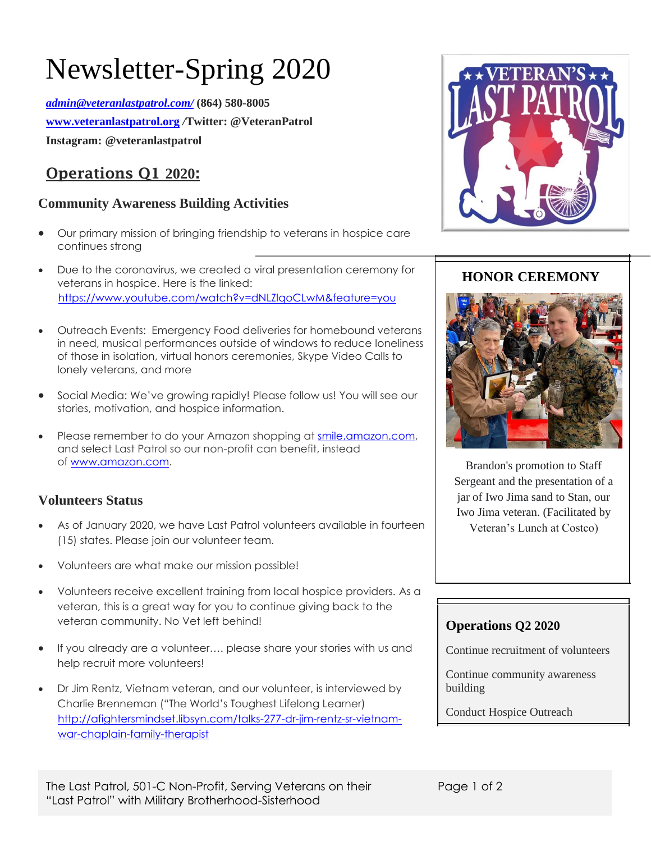# Newsletter-Spring 2020

*[admin@veteranlastpatrol.com/](mailto:admin@veteranlastpatrol.com/)* **(864) 580-8005 [www.veteranlastpatrol.org](http://www.veteranlastpatrol.org/)** */***Twitter: @VeteranPatrol Instagram: @veteranlastpatrol**

# **Operations Q1 2020:**

### **Community Awareness Building Activities**

- Our primary mission of bringing friendship to veterans in hospice care continues strong
- Due to the coronavirus, we created a viral presentation ceremony for veterans in hospice. Here is the linked: [https://www.youtube.com/watch?v=dNLZlqoCLwM&feature=you](https://www.youtube.com/watch?v=dNLZlqoCLwM&feature=youtu.be)
- Outreach Events: Emergency Food deliveries for homebound veterans in need, musical performances outside of windows to reduce loneliness of those in isolation, virtual honors ceremonies, Skype Video Calls to lonely veterans, and more
- Social Media: We've growing rapidly! Please follow us! You will see our stories, motivation, and hospice information.
- Please remember to do your Amazon shopping at [smile.amazon.com,](https://smile.amazon.com/gp/f.html?C=PTZA7JCE416F&K=3ISNWTREOTCGJ&M=urn:rtn:msg:20200304000638139b4803a5d245a9b5758c166110p0na&R=2QT41RQOL9TME&T=C&U=https%3A%2F%2Fsmile.amazon.com%2Fref%3Dpe_25223990_482161560_smi_em_elmp_ca_ssap1a_body_smi1&H=PTYYCQSLERDAZG7YYABBUEETWFYA&ref_=pe_25223990_482161560_smi_em_elmp_ca_ssap1a_body_smi1) and select Last Patrol so our non-profit can benefit, instead of [www.amazon.com.](http://www.amazon.com/)

### **Volunteers Status**

- As of January 2020, we have Last Patrol volunteers available in fourteen (15) states. Please join our volunteer team.
- Volunteers are what make our mission possible!
- Volunteers receive excellent training from local hospice providers. As a veteran, this is a great way for you to continue giving back to the veteran community. No Vet left behind!
- If you already are a volunteer.... please share your stories with us and help recruit more volunteers!
- [http://afightersmindset.libsyn.com/talks-277-dr-jim-rentz-sr-vietnam](http://afightersmindset.libsyn.com/talks-277-dr-jim-rentz-sr-vietnam-war-chaplain-family-therapist)[war-chaplain-family-therapist](http://afightersmindset.libsyn.com/talks-277-dr-jim-rentz-sr-vietnam-war-chaplain-family-therapist) • Dr Jim Rentz, Vietnam veteran, and our volunteer, is interviewed by Charlie Brenneman ("The World's Toughest Lifelong Learner)



## **HONOR CEREMONY**



Brandon's promotion to Staff Sergeant and the presentation of a jar of Iwo Jima sand to Stan, our Iwo Jima veteran. (Facilitated by Veteran's Lunch at Costco)

#### **Operations Q2 2020**

Continue recruitment of volunteers

Continue community awareness building

Conduct Hospice Outreach